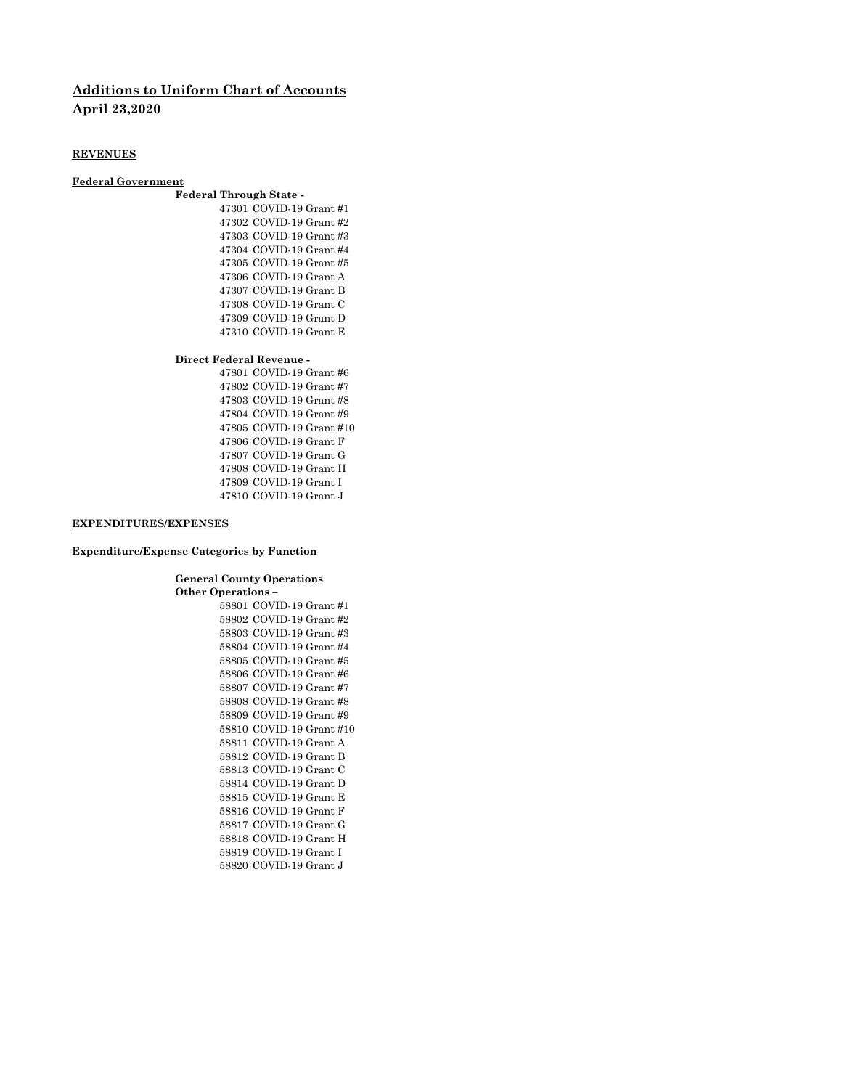# **Additions to Uniform Chart of Accounts April 23,2020**

### **REVENUES**

### **Federal Government**

## **Federal Through State -** COVID-19 Grant #1 COVID-19 Grant #2 COVID-19 Grant #3 COVID-19 Grant #4 COVID-19 Grant #5 COVID-19 Grant A COVID-19 Grant B COVID-19 Grant C COVID-19 Grant D COVID-19 Grant E

#### **Direct Federal Revenue -**

 COVID-19 Grant #6 COVID-19 Grant #7 COVID-19 Grant #8 COVID-19 Grant #9 COVID-19 Grant #10 COVID-19 Grant F COVID-19 Grant G COVID-19 Grant H COVID-19 Grant I COVID-19 Grant J

#### **EXPENDITURES/EXPENSES**

#### **Expenditure/Expense Categories by Function**

**General County Operations Other Operations –** 

 COVID-19 Grant #1 COVID-19 Grant #2 COVID-19 Grant #3 COVID-19 Grant #4 COVID-19 Grant #5 COVID-19 Grant #6 COVID-19 Grant #7 COVID-19 Grant #8 COVID-19 Grant #9 COVID-19 Grant #10 COVID-19 Grant A COVID-19 Grant B COVID-19 Grant C COVID-19 Grant D COVID-19 Grant E COVID-19 Grant F COVID-19 Grant G COVID-19 Grant H COVID-19 Grant I COVID-19 Grant J